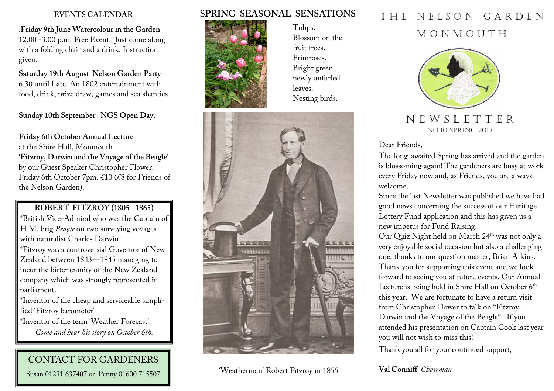.**Friday 9th June Watercolour in the Garden**  12.00 -3.00 p.m. Free Event. Just come along with a folding chair and a drink. Instruction given.

**Saturday 19th August Nelson Garden Party**  6.30 until Late. An 1802 entertainment with food, drink, prize draw, games and sea shanties.

**Sunday 10th September NGS Open Day.** 

**Friday 6th October Annual Lecture**at the Shire Hall, Monmouth **'Fitzroy, Darwin and the Voyage of the Beagle'**  by our Guest Speaker Christopher Flower. Friday 6th October 7pm. £10 (£8 for Friends of the Nelson Garden).

### **ROBERT FITZROY (1805– 1865)**

\*British Vice-Admiral who was the Captain of H.M. brig *Beagle* on two surveying voyages with naturalist Charles Darwin.

\*Fitzroy was a controversial Governor of New Zealand between 1843—1845 managing to incur the bitter enmity of the New Zealand company which was strongly represented in parliament.

\*Inventor of the cheap and serviceable simplified 'Fitzroy barometer'

\*Inventor of the term 'Weather Forecast'. *Come and hear his story on October 6th.* 

# CONTACT FOR GARDENERS

Susan 01291 637407 or Penny 01600 715507

### **SPRING SEASONAL SENSATIONS**



Tulips. Blossom on the fruit trees. Primroses. Bright green newly unfurled leaves. Nesting birds.



'Weatherman' Robert Fitzroy in 1855

# **EVENTS CALENDAR SPRING SEASONAL SENSATIONS** THE NELSON GARDEN

### M O N M O U T H



### N E W S L E T T E R NO.10 SPRING 2017

Dear Friends,

The long-awaited Spring has arrived and the garden is blossoming again! The gardeners are busy at workevery Friday now and, as Friends, you are always welcome.

 Since the last Newsletter was published we have hadgood news concerning the success of our Heritage Lottery Fund application and this has given us a new impetus for Fund Raising.

Our Quiz Night held on March 24<sup>th</sup> was not only a very enjoyable social occasion but also a challenging one, thanks to our question master, Brian Atkins. Thank you for supporting this event and we look forward to seeing you at future events. Our Annual Lecture is being held in Shire Hall on October 6<sup>th</sup> this year. We are fortunate to have a return visitfrom Christopher Flower to talk on "Fitzroy, Darwin and the Voyage of the Beagle". If you attended his presentation on Captain Cook last yearyou will not wish to miss this!

Thank you all for your continued support,

### **Val Conniff** *Chairman*